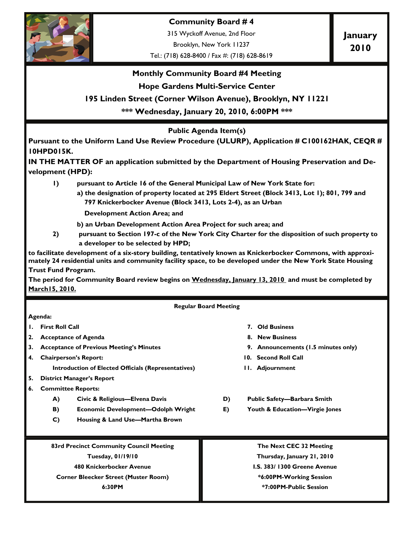

**Community Board # 4** 

315 Wyckoff Avenue, 2nd Floor

Brooklyn, New York 11237

Tel.: (718) 628-8400 / Fax #: (718) 628-8619

**January 2010** 

### **Monthly Community Board #4 Meeting**

### **Hope Gardens Multi-Service Center**

### **195 Linden Street (Corner Wilson Avenue), Brooklyn, NY 11221**

**\*\*\* Wednesday, January 20, 2010, 6:00PM \*\*\*** 

### **Public Agenda Item(s)**

**Pursuant to the Uniform Land Use Review Procedure (ULURP), Application # C100162HAK, CEQR # 10HPD015K.** 

**IN THE MATTER OF an application submitted by the Department of Housing Preservation and Development (HPD):** 

- **1) pursuant to Article 16 of the General Municipal Law of New York State for:** 
	- **a) the designation of property located at 295 Eldert Street (Block 3413, Lot 1); 801, 799 and 797 Knickerbocker Avenue (Block 3413, Lots 2-4), as an Urban**

 **Development Action Area; and** 

- **b) an Urban Development Action Area Project for such area; and**
- **2) pursuant to Section 197-c of the New York City Charter for the disposition of such property to a developer to be selected by HPD;**

**to facilitate development of a six-story building, tentatively known as Knickerbocker Commons, with approximately 24 residential units and community facility space, to be developed under the New York State Housing Trust Fund Program.** 

**The period for Community Board review begins on Wednesday, January 13, 2010 and must be completed by March15, 2010.**

**Regular Board Meeting** 

#### **Agenda:**

- **1. First Roll Call 7. Old Business**
- **2. Acceptance of Agenda 8. New Business**
- **3. Acceptance of Previous Meeting's Minutes 9. Announcements (1.5 minutes only)**
- **4. Chairperson's Report: 10. Second Roll Call** 
	- **Introduction of Elected Officials (Representatives) 11. Adjournment**
- **5. District Manager's Report**
- **6. Committee Reports:** 
	- **A) Civic & Religious—Elvena Davis D) Public Safety—Barbara Smith**
	- **B)** Economic Development—Odolph Wright **E)** Youth & Education—Virgie Jones
	- **C) Housing & Land Use—Martha Brown**
- 
- 
- 
- 
- 
- 
- 

**83rd Precinct Community Council Meeting** 

**Tuesday, 01/19/10** 

**480 Knickerbocker Avenue** 

**Corner Bleecker Street (Muster Room)** 

**6:30PM** 

**The Next CEC 32 Meeting** 

**Thursday, January 21, 2010** 

**I.S. 383/ 1300 Greene Avenue** 

**\*6:00PM-Working Session \*7:00PM-Public Session**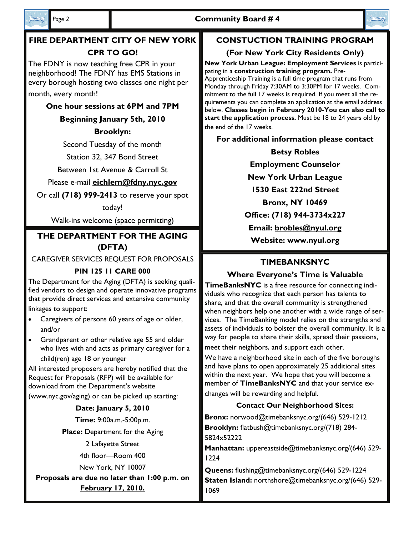

lanuoni

# **FIRE DEPARTMENT CITY OF NEW YORK CPR TO GO!**

The FDNY is now teaching free CPR in your neighborhood! The FDNY has EMS Stations in every borough hosting two classes one night per month, every month!

# **One hour sessions at 6PM and 7PM**

**Beginning January 5th, 2010** 

# **Brooklyn:**

Second Tuesday of the month

Station 32, 347 Bond Street

Between 1st Avenue & Carroll St

# Please e-mail **eichlem@fdny.nyc.gov**

Or call **(718) 999-2413** to reserve your spot

today!

Walk-ins welcome (space permitting)

# **Website: www.nyul.org THE DEPARTMENT FOR THE AGING (DFTA)**

CAREGIVER SERVICES REQUEST FOR PROPOSALS

# **PIN 125 11 CARE 000**

The Department for the Aging (DFTA) is seeking qualified vendors to design and operate innovative programs that provide direct services and extensive community

linkages to support:

- Caregivers of persons 60 years of age or older, and/or
- Grandparent or other relative age 55 and older who lives with and acts as primary caregiver for a child(ren) age 18 or younger

All interested proposers are hereby notified that the Request for Proposals (RFP) will be available for download from the Department's website

(www.nyc.gov/aging) or can be picked up starting:

## **Date: January 5, 2010**

**Time:** 9:00a.m.-5:00p.m.

**Place:** Department for the Aging

2 Lafayette Street

4th floor—Room 400

New York, NY 10007

**Proposals are due no later than 1:00 p.m. on February 17, 2010.**

# **CONSTUCTION TRAINING PROGRAM**

# **(For New York City Residents Only)**

**New York Urban League: Employment Services** is participating in a **construction training program.** Pre-Apprenticeship Training is a full time program that runs from Monday through Friday 7:30AM to 3:30PM for 17 weeks. Commitment to the full 17 weeks is required. If you meet all the requirements you can complete an application at the email address below. **Classes begin in February 2010-You can also call to start the application process.** Must be 18 to 24 years old by the end of the 17 weeks.

**For additional information please contact** 

**Betsy Robles Employment Counselor New York Urban League 1530 East 222nd Street Bronx, NY 10469 Office: (718) 944-3734x227 Email: brobles@nyul.org**

# **TIMEBANKSNYC**

# **Where Everyone's Time is Valuable**

**TimeBanksNYC** is a free resource for connecting individuals who recognize that each person has talents to share, and that the overall community is strengthened when neighbors help one another with a wide range of services. The TimeBanking model relies on the strengths and assets of individuals to bolster the overall community. It is a way for people to share their skills, spread their passions, meet their neighbors, and support each other.

We have a neighborhood site in each of the five boroughs and have plans to open approximately 25 additional sites within the next year. We hope that you will become a member of **TimeBanksNYC** and that your service exchanges will be rewarding and helpful.

# **Contact Our Neighborhood Sites:**

**Bronx:** norwood@timebanksnyc.org/(646) 529-1212 **Brooklyn:** flatbush@timebanksnyc.org/(718) 284- 5824x52222

**Manhattan:** uppereastside@timebanksnyc.org/(646) 529- 1224

**Queens:** flushing@timebanksnyc.org/(646) 529-1224 **Staten Island:** northshore@timebanksnyc.org/(646) 529- 1069